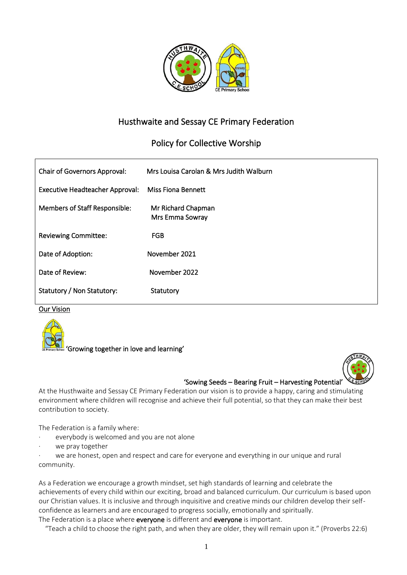

# Husthwaite and Sessay CE Primary Federation

# Policy for Collective Worship

| <b>Chair of Governors Approval:</b>    | Mrs Louisa Carolan & Mrs Judith Walburn |
|----------------------------------------|-----------------------------------------|
| <b>Executive Headteacher Approval:</b> | <b>Miss Fiona Bennett</b>               |
| Members of Staff Responsible:          | Mr Richard Chapman<br>Mrs Emma Sowray   |
| <b>Reviewing Committee:</b>            | <b>FGB</b>                              |
| Date of Adoption:                      | November 2021                           |
| Date of Review:                        | November 2022                           |
| Statutory / Non Statutory:             | Statutory                               |

Our Vision





#### 'Sowing Seeds – Bearing Fruit – Harvesting Potential'

At the Husthwaite and Sessay CE Primary Federation our vision is to provide a happy, caring and stimulating environment where children will recognise and achieve their full potential, so that they can make their best contribution to society.

The Federation is a family where:

- everybody is welcomed and you are not alone
- we pray together

we are honest, open and respect and care for everyone and everything in our unique and rural community.

As a Federation we encourage a growth mindset, set high standards of learning and celebrate the achievements of every child within our exciting, broad and balanced curriculum. Our curriculum is based upon our Christian values. It is inclusive and through inquisitive and creative minds our children develop their selfconfidence as learners and are encouraged to progress socially, emotionally and spiritually. The Federation is a place where everyone is different and everyone is important.

"Teach a child to choose the right path, and when they are older, they will remain upon it." (Proverbs 22:6)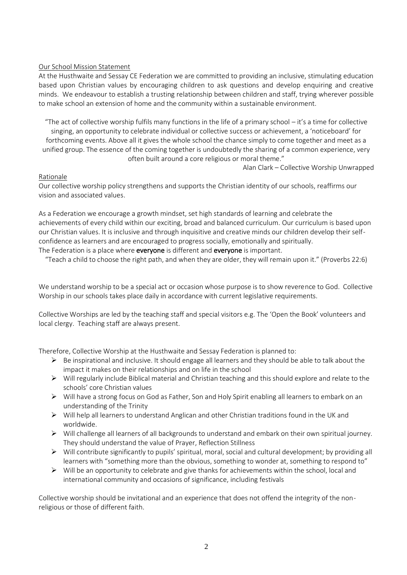# Our School Mission Statement

At the Husthwaite and Sessay CE Federation we are committed to providing an inclusive, stimulating education based upon Christian values by encouraging children to ask questions and develop enquiring and creative minds. We endeavour to establish a trusting relationship between children and staff, trying wherever possible to make school an extension of home and the community within a sustainable environment.

"The act of collective worship fulfils many functions in the life of a primary school – it's a time for collective singing, an opportunity to celebrate individual or collective success or achievement, a 'noticeboard' for forthcoming events. Above all it gives the whole school the chance simply to come together and meet as a unified group. The essence of the coming together is undoubtedly the sharing of a common experience, very often built around a core religious or moral theme."

Alan Clark – Collective Worship Unwrapped

## Rationale

Our collective worship policy strengthens and supports the Christian identity of our schools, reaffirms our vision and associated values.

As a Federation we encourage a growth mindset, set high standards of learning and celebrate the achievements of every child within our exciting, broad and balanced curriculum. Our curriculum is based upon our Christian values. It is inclusive and through inquisitive and creative minds our children develop their selfconfidence as learners and are encouraged to progress socially, emotionally and spiritually. The Federation is a place where everyone is different and everyone is important.

"Teach a child to choose the right path, and when they are older, they will remain upon it." (Proverbs 22:6)

We understand worship to be a special act or occasion whose purpose is to show reverence to God. Collective Worship in our schools takes place daily in accordance with current legislative requirements.

Collective Worships are led by the teaching staff and special visitors e.g. The 'Open the Book' volunteers and local clergy. Teaching staff are always present.

Therefore, Collective Worship at the Husthwaite and Sessay Federation is planned to:

- $\triangleright$  Be inspirational and inclusive. It should engage all learners and they should be able to talk about the impact it makes on their relationships and on life in the school
- ➢ Will regularly include Biblical material and Christian teaching and this should explore and relate to the schools' core Christian values
- ➢ Will have a strong focus on God as Father, Son and Holy Spirit enabling all learners to embark on an understanding of the Trinity
- $\triangleright$  Will help all learners to understand Anglican and other Christian traditions found in the UK and worldwide.
- ➢ Will challenge all learners of all backgrounds to understand and embark on their own spiritual journey. They should understand the value of Prayer, Reflection Stillness
- $\triangleright$  Will contribute significantly to pupils' spiritual, moral, social and cultural development; by providing all learners with "something more than the obvious, something to wonder at, something to respond to"
- $\triangleright$  Will be an opportunity to celebrate and give thanks for achievements within the school, local and international community and occasions of significance, including festivals

Collective worship should be invitational and an experience that does not offend the integrity of the nonreligious or those of different faith.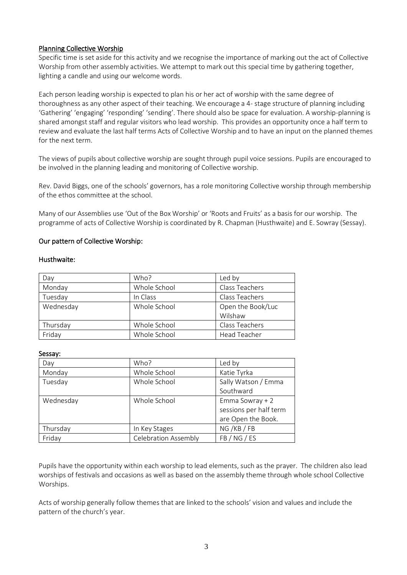# Planning Collective Worship

Specific time is set aside for this activity and we recognise the importance of marking out the act of Collective Worship from other assembly activities. We attempt to mark out this special time by gathering together, lighting a candle and using our welcome words.

Each person leading worship is expected to plan his or her act of worship with the same degree of thoroughness as any other aspect of their teaching. We encourage a 4- stage structure of planning including 'Gathering' 'engaging' 'responding' 'sending'. There should also be space for evaluation. A worship-planning is shared amongst staff and regular visitors who lead worship. This provides an opportunity once a half term to review and evaluate the last half terms Acts of Collective Worship and to have an input on the planned themes for the next term.

The views of pupils about collective worship are sought through pupil voice sessions. Pupils are encouraged to be involved in the planning leading and monitoring of Collective worship.

Rev. David Biggs, one of the schools' governors, has a role monitoring Collective worship through membership of the ethos committee at the school.

Many of our Assemblies use 'Out of the Box Worship' or 'Roots and Fruits' as a basis for our worship. The programme of acts of Collective Worship is coordinated by R. Chapman (Husthwaite) and E. Sowray (Sessay).

## Our pattern of Collective Worship:

#### Husthwaite:

| Day       | Who?         | Led by              |
|-----------|--------------|---------------------|
| Monday    | Whole School | Class Teachers      |
| Tuesday   | In Class     | Class Teachers      |
| Wednesday | Whole School | Open the Book/Luc   |
|           |              | Wilshaw             |
| Thursday  | Whole School | Class Teachers      |
| Friday    | Whole School | <b>Head Teacher</b> |

#### Sessay:

| Day       | Who?                        | Led by                 |
|-----------|-----------------------------|------------------------|
| Monday    | Whole School                | Katie Tyrka            |
| Tuesday   | Whole School                | Sally Watson / Emma    |
|           |                             | Southward              |
| Wednesday | Whole School                | Emma Sowray + 2        |
|           |                             | sessions per half term |
|           |                             | are Open the Book.     |
| Thursday  | In Key Stages               | NG/KB/FB               |
| Friday    | <b>Celebration Assembly</b> | FB / NG / ES           |

Pupils have the opportunity within each worship to lead elements, such as the prayer. The children also lead worships of festivals and occasions as well as based on the assembly theme through whole school Collective Worships.

Acts of worship generally follow themes that are linked to the schools' vision and values and include the pattern of the church's year.